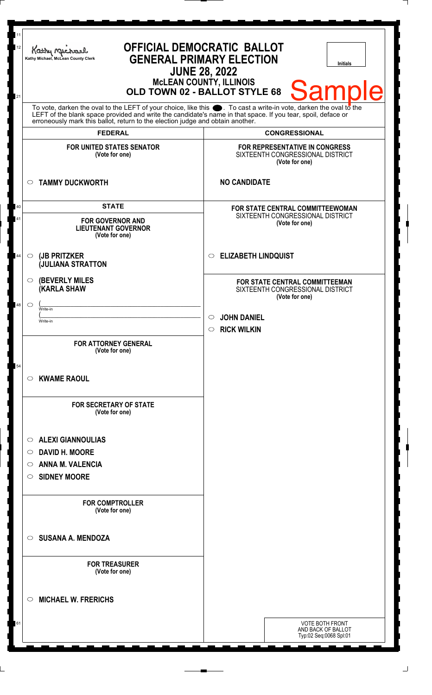| 11<br>12 | <b>OFFICIAL DEMOCRATIC BALLOT</b><br>Kathy Michael<br><b>GENERAL PRIMARY ELECTION</b><br>Kathy Michael, McLean County Clerk<br><b>Initials</b><br><b>JUNE 28, 2022</b><br><b>MCLEAN COUNTY, ILLINOIS</b><br><b>Sample</b><br>OLD TOWN 02 - BALLOT STYLE 68                                                             |                                                                                        |
|----------|------------------------------------------------------------------------------------------------------------------------------------------------------------------------------------------------------------------------------------------------------------------------------------------------------------------------|----------------------------------------------------------------------------------------|
| 21       | To vote, darken the oval to the LEFT of your choice, like this $\bullet$ . To cast a write-in vote, darken the oval to the LEFT of the blank space provided and write the candidate's name in that space. If you tear, spoil, deface<br>erroneously mark this ballot, return to the election judge and obtain another. |                                                                                        |
|          | <b>FEDERAL</b>                                                                                                                                                                                                                                                                                                         | <b>CONGRESSIONAL</b>                                                                   |
|          | <b>FOR UNITED STATES SENATOR</b><br>(Vote for one)                                                                                                                                                                                                                                                                     | FOR REPRESENTATIVE IN CONGRESS<br>SIXTEENTH CONGRESSIONAL DISTRICT<br>(Vote for one)   |
|          | <b>TAMMY DUCKWORTH</b><br>$\circ$                                                                                                                                                                                                                                                                                      | <b>NO CANDIDATE</b>                                                                    |
| 40<br>41 | <b>STATE</b><br><b>FOR GOVERNOR AND</b><br><b>LIEUTENANT GOVERNOR</b><br>(Vote for one)                                                                                                                                                                                                                                | FOR STATE CENTRAL COMMITTEEWOMAN<br>SIXTEENTH CONGRESSIONAL DISTRICT<br>(Vote for one) |
| 44       | (JB PRITZKER<br>$\circ$<br><b>JULIANA STRATTON</b>                                                                                                                                                                                                                                                                     | <b>ELIZABETH LINDQUIST</b><br>O                                                        |
|          | <b>(BEVERLY MILES)</b><br>O<br><b>(KARLA SHAW</b>                                                                                                                                                                                                                                                                      | FOR STATE CENTRAL COMMITTEEMAN<br>SIXTEENTH CONGRESSIONAL DISTRICT<br>(Vote for one)   |
| 48       | $\circ$<br>Write-in                                                                                                                                                                                                                                                                                                    |                                                                                        |
|          | Write-in                                                                                                                                                                                                                                                                                                               | O JOHN DANIEL                                                                          |
|          | <b>FOR ATTORNEY GENERAL</b><br>(Vote for one)                                                                                                                                                                                                                                                                          | <b>RICK WILKIN</b><br>$\bigcirc$                                                       |
| 54       | <b>KWAME RAOUL</b><br>$\circ$                                                                                                                                                                                                                                                                                          |                                                                                        |
|          | <b>FOR SECRETARY OF STATE</b><br>(Vote for one)                                                                                                                                                                                                                                                                        |                                                                                        |
|          | <b>ALEXI GIANNOULIAS</b><br>$\circ$                                                                                                                                                                                                                                                                                    |                                                                                        |
|          | <b>DAVID H. MOORE</b><br>O                                                                                                                                                                                                                                                                                             |                                                                                        |
|          | <b>ANNA M. VALENCIA</b><br>O                                                                                                                                                                                                                                                                                           |                                                                                        |
|          | <b>SIDNEY MOORE</b><br>O                                                                                                                                                                                                                                                                                               |                                                                                        |
|          | <b>FOR COMPTROLLER</b><br>(Vote for one)                                                                                                                                                                                                                                                                               |                                                                                        |
|          | <b>SUSANA A. MENDOZA</b><br>◯                                                                                                                                                                                                                                                                                          |                                                                                        |
|          | <b>FOR TREASURER</b><br>(Vote for one)                                                                                                                                                                                                                                                                                 |                                                                                        |
|          | <b>MICHAEL W. FRERICHS</b><br>O                                                                                                                                                                                                                                                                                        |                                                                                        |
| 61       |                                                                                                                                                                                                                                                                                                                        | <b>VOTE BOTH FRONT</b><br>AND BACK OF BALLOT<br>Typ:02 Seq:0068 Spl:01                 |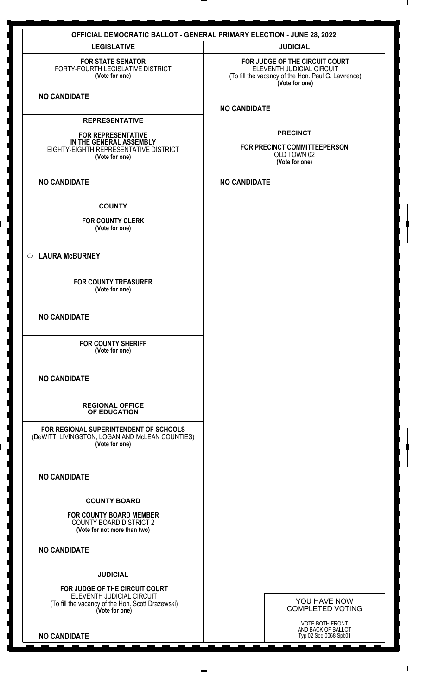| <b>OFFICIAL DEMOCRATIC BALLOT - GENERAL PRIMARY ELECTION - JUNE 28, 2022</b>                                |                                                                                                                                     |  |
|-------------------------------------------------------------------------------------------------------------|-------------------------------------------------------------------------------------------------------------------------------------|--|
| <b>LEGISLATIVE</b>                                                                                          | <b>JUDICIAL</b>                                                                                                                     |  |
| <b>FOR STATE SENATOR</b><br>FORTY-FOURTH LEGISLATIVE DISTRICT<br>(Vote for one)                             | FOR JUDGE OF THE CIRCUIT COURT<br>ELEVENTH JUDICIAL CIRCUIT<br>(To fill the vacancy of the Hon. Paul G. Lawrence)<br>(Vote for one) |  |
| <b>NO CANDIDATE</b>                                                                                         | <b>NO CANDIDATE</b>                                                                                                                 |  |
| <b>REPRESENTATIVE</b>                                                                                       |                                                                                                                                     |  |
| <b>FOR REPRESENTATIVE</b>                                                                                   | <b>PRECINCT</b>                                                                                                                     |  |
| IN THE GENERAL ASSEMBLY<br>EIGHTY-EIGHTH REPRESENTATIVE DISTRICT<br>(Vote for one)                          | FOR PRECINCT COMMITTEEPERSON<br>OLD TOWN 02<br>(Vote for one)                                                                       |  |
| <b>NO CANDIDATE</b>                                                                                         | <b>NO CANDIDATE</b>                                                                                                                 |  |
| <b>COUNTY</b>                                                                                               |                                                                                                                                     |  |
| FOR COUNTY CLERK<br>(Vote for one)                                                                          |                                                                                                                                     |  |
| ○ LAURA McBURNEY                                                                                            |                                                                                                                                     |  |
| <b>FOR COUNTY TREASURER</b><br>(Vote for one)                                                               |                                                                                                                                     |  |
| <b>NO CANDIDATE</b>                                                                                         |                                                                                                                                     |  |
| <b>FOR COUNTY SHERIFF</b><br>(Vote for one)                                                                 |                                                                                                                                     |  |
| <b>NO CANDIDATE</b>                                                                                         |                                                                                                                                     |  |
| <b>REGIONAL OFFICE</b><br>OF EDUCATION                                                                      |                                                                                                                                     |  |
| FOR REGIONAL SUPERINTENDENT OF SCHOOLS<br>(DeWITT, LIVINGSTON, LOGAN AND McLEAN COUNTIES)<br>(Vote for one) |                                                                                                                                     |  |
| <b>NO CANDIDATE</b>                                                                                         |                                                                                                                                     |  |
| <b>COUNTY BOARD</b>                                                                                         |                                                                                                                                     |  |
| <b>FOR COUNTY BOARD MEMBER</b><br><b>COUNTY BOARD DISTRICT 2</b><br>(Vote for not more than two)            |                                                                                                                                     |  |
| <b>NO CANDIDATE</b>                                                                                         |                                                                                                                                     |  |
| <b>JUDICIAL</b>                                                                                             |                                                                                                                                     |  |
| FOR JUDGE OF THE CIRCUIT COURT                                                                              |                                                                                                                                     |  |
| ELEVENTH JUDICIAL CIRCUIT<br>(To fill the vacancy of the Hon. Scott Drazewski)<br>(Vote for one)            | YOU HAVE NOW<br><b>COMPLETED VOTING</b>                                                                                             |  |
| <b>NO CANDIDATE</b>                                                                                         | <b>VOTE BOTH FRONT</b><br>AND BACK OF BALLOT<br>Typ:02 Seq:0068 Spl:01                                                              |  |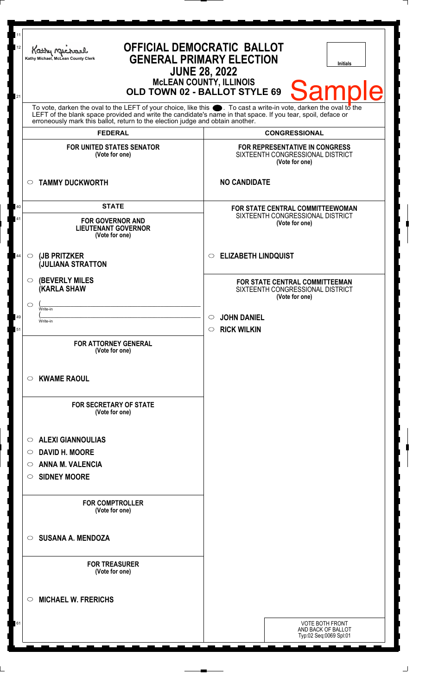| 11<br>12 | <b>OFFICIAL DEMOCRATIC BALLOT</b><br>Kathy Michael<br><b>GENERAL PRIMARY ELECTION</b><br>Kathy Michael, McLean County Clerk<br><b>Initials</b><br><b>JUNE 28, 2022</b><br><b>McLEAN COUNTY, ILLINOIS</b><br><b>Sample</b><br>OLD TOWN 02 - BALLOT STYLE 69                                                             |                                                                                                                                              |
|----------|------------------------------------------------------------------------------------------------------------------------------------------------------------------------------------------------------------------------------------------------------------------------------------------------------------------------|----------------------------------------------------------------------------------------------------------------------------------------------|
| 21       | To vote, darken the oval to the LEFT of your choice, like this $\bullet$ . To cast a write-in vote, darken the oval to the LEFT of the blank space provided and write the candidate's name in that space. If you tear, spoil, deface<br>erroneously mark this ballot, return to the election judge and obtain another. |                                                                                                                                              |
|          | <b>FEDERAL</b>                                                                                                                                                                                                                                                                                                         | <b>CONGRESSIONAL</b>                                                                                                                         |
|          | <b>FOR UNITED STATES SENATOR</b><br>(Vote for one)                                                                                                                                                                                                                                                                     | FOR REPRESENTATIVE IN CONGRESS<br>SIXTEENTH CONGRESSIONAL DISTRICT<br>(Vote for one)                                                         |
|          | <b>TAMMY DUCKWORTH</b><br>$\circ$                                                                                                                                                                                                                                                                                      | <b>NO CANDIDATE</b>                                                                                                                          |
| 40<br>41 | <b>STATE</b><br><b>FOR GOVERNOR AND</b><br><b>LIEUTENANT GOVERNOR</b><br>(Vote for one)                                                                                                                                                                                                                                | <b>FOR STATE CENTRAL COMMITTEEWOMAN</b><br>SIXTEENTH CONGRESSIONAL DISTRICT<br>(Vote for one)                                                |
| 44       | (JB PRITZKER<br>$\circ$<br><b>JULIANA STRATTON</b>                                                                                                                                                                                                                                                                     | <b>ELIZABETH LINDQUIST</b><br>$\circ$                                                                                                        |
| 49<br>51 | <b>(BEVERLY MILES)</b><br>$\circ$<br><b>(KARLA SHAW</b><br>$\circlearrowright$<br>Write-in<br>Write-in                                                                                                                                                                                                                 | FOR STATE CENTRAL COMMITTEEMAN<br>SIXTEENTH CONGRESSIONAL DISTRICT<br>(Vote for one)<br>$\circ$ JOHN DANIEL<br><b>RICK WILKIN</b><br>$\circ$ |
|          | <b>FOR ATTORNEY GENERAL</b><br>(Vote for one)                                                                                                                                                                                                                                                                          |                                                                                                                                              |
|          | <b>KWAME RAOUL</b><br>$\circ$<br><b>FOR SECRETARY OF STATE</b><br>(Vote for one)                                                                                                                                                                                                                                       |                                                                                                                                              |
|          | <b>ALEXI GIANNOULIAS</b><br>O<br><b>DAVID H. MOORE</b><br>$\circ$<br><b>ANNA M. VALENCIA</b><br>$\circ$<br><b>SIDNEY MOORE</b><br>$\circ$                                                                                                                                                                              |                                                                                                                                              |
|          | <b>FOR COMPTROLLER</b><br>(Vote for one)                                                                                                                                                                                                                                                                               |                                                                                                                                              |
|          | <b>SUSANA A. MENDOZA</b><br>$\bigcirc$                                                                                                                                                                                                                                                                                 |                                                                                                                                              |
|          | <b>FOR TREASURER</b><br>(Vote for one)                                                                                                                                                                                                                                                                                 |                                                                                                                                              |
|          | <b>MICHAEL W. FRERICHS</b><br>$\circ$                                                                                                                                                                                                                                                                                  |                                                                                                                                              |
| 61       |                                                                                                                                                                                                                                                                                                                        | <b>VOTE BOTH FRONT</b><br>AND BACK OF BALLOT<br>Typ:02 Seq:0069 Spl:01                                                                       |

 $\Box$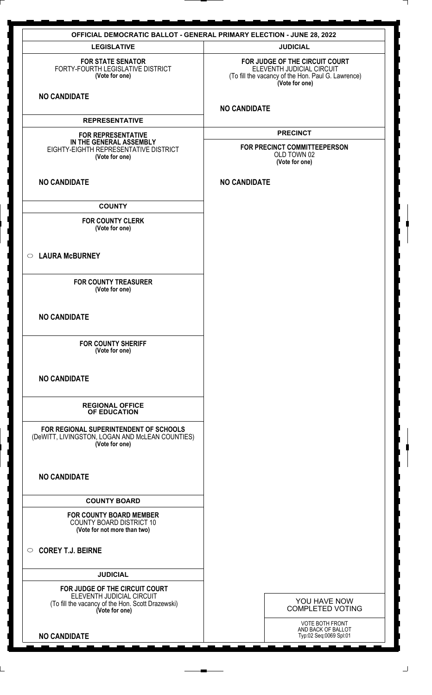| <b>OFFICIAL DEMOCRATIC BALLOT - GENERAL PRIMARY ELECTION - JUNE 28, 2022</b>                                                       |                                                                                                                                     |  |
|------------------------------------------------------------------------------------------------------------------------------------|-------------------------------------------------------------------------------------------------------------------------------------|--|
| <b>LEGISLATIVE</b>                                                                                                                 | <b>JUDICIAL</b>                                                                                                                     |  |
| <b>FOR STATE SENATOR</b><br>FORTY-FOURTH LEGISLATIVE DISTRICT<br>(Vote for one)                                                    | FOR JUDGE OF THE CIRCUIT COURT<br>ELEVENTH JUDICIAL CIRCUIT<br>(To fill the vacancy of the Hon. Paul G. Lawrence)<br>(Vote for one) |  |
| <b>NO CANDIDATE</b>                                                                                                                | <b>NO CANDIDATE</b>                                                                                                                 |  |
| <b>REPRESENTATIVE</b>                                                                                                              |                                                                                                                                     |  |
| <b>FOR REPRESENTATIVE</b><br>IN THE GENERAL ASSEMBLY<br>EIGHTY-EIGHTH REPRESENTATIVE DISTRICT<br>(Vote for one)                    | <b>PRECINCT</b><br>FOR PRECINCT COMMITTEEPERSON<br>OLD TOWN 02<br>(Vote for one)                                                    |  |
| <b>NO CANDIDATE</b>                                                                                                                | <b>NO CANDIDATE</b>                                                                                                                 |  |
| <b>COUNTY</b>                                                                                                                      |                                                                                                                                     |  |
| <b>FOR COUNTY CLERK</b><br>(Vote for one)                                                                                          |                                                                                                                                     |  |
| ○ LAURA McBURNEY                                                                                                                   |                                                                                                                                     |  |
| <b>FOR COUNTY TREASURER</b><br>(Vote for one)                                                                                      |                                                                                                                                     |  |
| <b>NO CANDIDATE</b>                                                                                                                |                                                                                                                                     |  |
| <b>FOR COUNTY SHERIFF</b><br>(Vote for one)                                                                                        |                                                                                                                                     |  |
| <b>NO CANDIDATE</b>                                                                                                                |                                                                                                                                     |  |
| <b>REGIONAL OFFICE</b><br>OF EDUCATION                                                                                             |                                                                                                                                     |  |
| FOR REGIONAL SUPERINTENDENT OF SCHOOLS<br>(DeWITT, LIVINGSTON, LOGAN AND McLEAN COUNTIES)<br>(Vote for one)                        |                                                                                                                                     |  |
| <b>NO CANDIDATE</b>                                                                                                                |                                                                                                                                     |  |
| <b>COUNTY BOARD</b>                                                                                                                |                                                                                                                                     |  |
| <b>FOR COUNTY BOARD MEMBER</b><br><b>COUNTY BOARD DISTRICT 10</b><br>(Vote for not more than two)                                  |                                                                                                                                     |  |
| <b>COREY T.J. BEIRNE</b><br>$\circ$                                                                                                |                                                                                                                                     |  |
| <b>JUDICIAL</b>                                                                                                                    |                                                                                                                                     |  |
| FOR JUDGE OF THE CIRCUIT COURT<br>ELEVENTH JUDICIAL CIRCUIT<br>(To fill the vacancy of the Hon. Scott Drazewski)<br>(Vote for one) | YOU HAVE NOW<br><b>COMPLETED VOTING</b>                                                                                             |  |
| <b>NO CANDIDATE</b>                                                                                                                | <b>VOTE BOTH FRONT</b><br>AND BACK OF BALLOT<br>Typ:02 Seq:0069 Spl:01                                                              |  |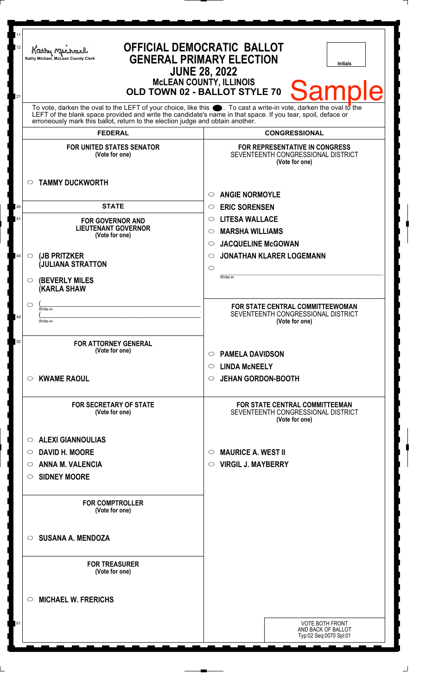| 11<br>12 | Kathy Much<br>Kathy Michael, McLean County Clerk                                                                                                                                                                                                                                                                             | <b>OFFICIAL DEMOCRATIC BALLOT</b><br><b>GENERAL PRIMARY ELECTION</b><br><b>Initials</b><br><b>JUNE 28, 2022</b><br><b>MCLEAN COUNTY, ILLINOIS</b> |
|----------|------------------------------------------------------------------------------------------------------------------------------------------------------------------------------------------------------------------------------------------------------------------------------------------------------------------------------|---------------------------------------------------------------------------------------------------------------------------------------------------|
| 21       |                                                                                                                                                                                                                                                                                                                              | <b>Sample</b><br>OLD TOWN 02 - BALLOT STYLE 70                                                                                                    |
|          | To vote, darken the oval to the LEFT of your choice, like this $\bullet$ . To cast a write-in vote, darken the oval to the<br>LEFT of the blank space provided and write the candidate's name in that space. If you tear, spoil, deface or<br>erroneously mark this ballot, return to the election judge and obtain another. |                                                                                                                                                   |
|          | <b>FEDERAL</b>                                                                                                                                                                                                                                                                                                               | <b>CONGRESSIONAL</b>                                                                                                                              |
|          | <b>FOR UNITED STATES SENATOR</b><br>(Vote for one)                                                                                                                                                                                                                                                                           | <b>FOR REPRESENTATIVE IN CONGRESS</b><br>SEVENTEENTH CONGRESSIONAL DISTRICT<br>(Vote for one)                                                     |
|          | <b>TAMMY DUCKWORTH</b><br>$\circ$                                                                                                                                                                                                                                                                                            | <b>ANGIE NORMOYLE</b><br>◯                                                                                                                        |
| 40       | <b>STATE</b>                                                                                                                                                                                                                                                                                                                 | <b>ERIC SORENSEN</b><br>$\circ$                                                                                                                   |
| 41       | <b>FOR GOVERNOR AND</b>                                                                                                                                                                                                                                                                                                      | <b>LITESA WALLACE</b><br>$\circ$                                                                                                                  |
|          | <b>LIEUTENANT GOVERNOR</b>                                                                                                                                                                                                                                                                                                   | <b>MARSHA WILLIAMS</b><br>$\circ$                                                                                                                 |
|          | (Vote for one)                                                                                                                                                                                                                                                                                                               | <b>JACQUELINE McGOWAN</b><br>$\circ$                                                                                                              |
| 44       | (JB PRITZKER<br>$\circ$                                                                                                                                                                                                                                                                                                      | <b>JONATHAN KLARER LOGEMANN</b><br>$\circlearrowright$                                                                                            |
|          | <b>JULIANA STRATTON</b>                                                                                                                                                                                                                                                                                                      | $\circ$                                                                                                                                           |
|          | <b>(BEVERLY MILES)</b><br>O<br><b>KARLA SHAW</b>                                                                                                                                                                                                                                                                             | Write-in                                                                                                                                          |
|          | $\circlearrowright$                                                                                                                                                                                                                                                                                                          | <b>FOR STATE CENTRAL COMMITTEEWOMAN</b>                                                                                                           |
| 49       | Write-in<br>Write-in                                                                                                                                                                                                                                                                                                         | SEVENTEENTH CONGRESSIONAL DISTRICT<br>(Vote for one)                                                                                              |
|          |                                                                                                                                                                                                                                                                                                                              |                                                                                                                                                   |
| 52       | <b>FOR ATTORNEY GENERAL</b><br>(Vote for one)                                                                                                                                                                                                                                                                                | <b>PAMELA DAVIDSON</b><br>$\circ$                                                                                                                 |
|          |                                                                                                                                                                                                                                                                                                                              | <b>LINDA MCNEELY</b><br>$\circlearrowright$                                                                                                       |
|          | <b>KWAME RAOUL</b><br>$\circ$                                                                                                                                                                                                                                                                                                | <b>JEHAN GORDON-BOOTH</b><br>$\circ$                                                                                                              |
|          | <b>FOR SECRETARY OF STATE</b><br>(Vote for one)                                                                                                                                                                                                                                                                              | <b>FOR STATE CENTRAL COMMITTEEMAN</b><br>SEVENTEENTH CONGRESSIONAL DISTRICT<br>(Vote for one)                                                     |
|          | <b>ALEXI GIANNOULIAS</b><br>$\circ$                                                                                                                                                                                                                                                                                          |                                                                                                                                                   |
|          | <b>DAVID H. MOORE</b><br>O                                                                                                                                                                                                                                                                                                   | <b>MAURICE A. WEST II</b><br>O                                                                                                                    |
|          | <b>ANNA M. VALENCIA</b><br>$\circ$                                                                                                                                                                                                                                                                                           | <b>VIRGIL J. MAYBERRY</b><br>$\bigcirc$                                                                                                           |
|          | <b>SIDNEY MOORE</b><br>$\circ$                                                                                                                                                                                                                                                                                               |                                                                                                                                                   |
|          |                                                                                                                                                                                                                                                                                                                              |                                                                                                                                                   |
|          | <b>FOR COMPTROLLER</b><br>(Vote for one)                                                                                                                                                                                                                                                                                     |                                                                                                                                                   |
|          | <b>SUSANA A. MENDOZA</b><br>$\circ$                                                                                                                                                                                                                                                                                          |                                                                                                                                                   |
|          | <b>FOR TREASURER</b><br>(Vote for one)                                                                                                                                                                                                                                                                                       |                                                                                                                                                   |
|          | <b>MICHAEL W. FRERICHS</b><br>$\circ$                                                                                                                                                                                                                                                                                        |                                                                                                                                                   |
| 61       |                                                                                                                                                                                                                                                                                                                              | <b>VOTE BOTH FRONT</b><br>AND BACK OF BALLOT                                                                                                      |
|          |                                                                                                                                                                                                                                                                                                                              | Typ:02 Seq:0070 Spl:01                                                                                                                            |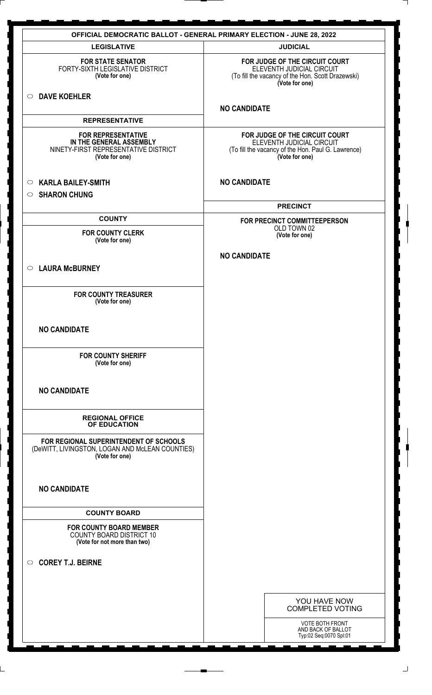| <b>OFFICIAL DEMOCRATIC BALLOT - GENERAL PRIMARY ELECTION - JUNE 28, 2022</b>                                   |                                                                                                                                     |  |
|----------------------------------------------------------------------------------------------------------------|-------------------------------------------------------------------------------------------------------------------------------------|--|
| <b>LEGISLATIVE</b>                                                                                             | <b>JUDICIAL</b>                                                                                                                     |  |
| <b>FOR STATE SENATOR</b><br>FORTY-SIXTH LEGISLATIVE DISTRICT<br>(Vote for one)                                 | FOR JUDGE OF THE CIRCUIT COURT<br>ELEVENTH JUDICIAL CIRCUIT<br>(To fill the vacancy of the Hon. Scott Drazewski)<br>(Vote for one)  |  |
| <b>DAVE KOEHLER</b><br>$\circ$                                                                                 | <b>NO CANDIDATE</b>                                                                                                                 |  |
| <b>REPRESENTATIVE</b>                                                                                          |                                                                                                                                     |  |
| <b>FOR REPRESENTATIVE</b><br>IN THE GENERAL ASSEMBLY<br>NINETY-FIRST REPRESENTATIVE DISTRICT<br>(Vote for one) | FOR JUDGE OF THE CIRCUIT COURT<br>ELEVENTH JUDICIAL CIRCUIT<br>(To fill the vacancy of the Hon. Paul G. Lawrence)<br>(Vote for one) |  |
| <b>KARLA BAILEY-SMITH</b><br>$\circ$<br><b>SHARON CHUNG</b><br>$\circ$                                         | <b>NO CANDIDATE</b>                                                                                                                 |  |
|                                                                                                                | <b>PRECINCT</b>                                                                                                                     |  |
| <b>COUNTY</b>                                                                                                  | FOR PRECINCT COMMITTEEPERSON<br>OLD TOWN 02                                                                                         |  |
| <b>FOR COUNTY CLERK</b><br>(Vote for one)                                                                      | (Vote for one)                                                                                                                      |  |
|                                                                                                                |                                                                                                                                     |  |
| <b>LAURA McBURNEY</b><br>$\circ$                                                                               | <b>NO CANDIDATE</b>                                                                                                                 |  |
|                                                                                                                |                                                                                                                                     |  |
| <b>FOR COUNTY TREASURER</b><br>(Vote for one)                                                                  |                                                                                                                                     |  |
| <b>NO CANDIDATE</b>                                                                                            |                                                                                                                                     |  |
| <b>FOR COUNTY SHERIFF</b><br>(Vote for one)                                                                    |                                                                                                                                     |  |
| <b>NO CANDIDATE</b>                                                                                            |                                                                                                                                     |  |
| <b>REGIONAL OFFICE</b><br>OF EDUCATION                                                                         |                                                                                                                                     |  |
| FOR REGIONAL SUPERINTENDENT OF SCHOOLS<br>(DeWITT, LIVINGSTON, LOGAN AND McLEAN COUNTIES)<br>(Vote for one)    |                                                                                                                                     |  |
| <b>NO CANDIDATE</b>                                                                                            |                                                                                                                                     |  |
| <b>COUNTY BOARD</b>                                                                                            |                                                                                                                                     |  |
| <b>FOR COUNTY BOARD MEMBER</b><br><b>COUNTY BOARD DISTRICT 10</b><br>(Vote for not more than two)              |                                                                                                                                     |  |
| <b>COREY T.J. BEIRNE</b><br>$\circ$                                                                            |                                                                                                                                     |  |
|                                                                                                                |                                                                                                                                     |  |
|                                                                                                                | YOU HAVE NOW<br><b>COMPLETED VOTING</b>                                                                                             |  |
|                                                                                                                | VOTE BOTH FRONT<br>AND BACK OF BALLOT<br>Typ:02 Seq:0070 Spl:01                                                                     |  |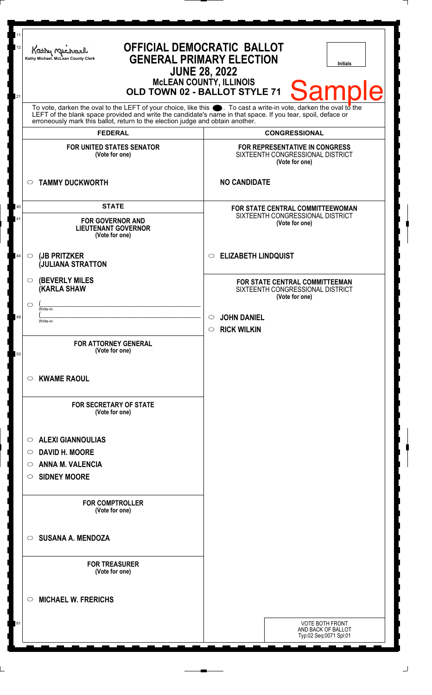| 11<br>$12\,$<br>21 | <b>OFFICIAL DEMOCRATIC BALLOT</b><br>Kathy Michael<br><b>GENERAL PRIMARY ELECTION</b><br>Kathy Michael, McLean County Clerk<br>Initials<br><b>JUNE 28, 2022</b><br><b>McLEAN COUNTY, ILLINOIS</b><br><b>Sample</b><br>OLD TOWN 02 - BALLOT STYLE 71                                                                    |                                                                                                                              |
|--------------------|------------------------------------------------------------------------------------------------------------------------------------------------------------------------------------------------------------------------------------------------------------------------------------------------------------------------|------------------------------------------------------------------------------------------------------------------------------|
|                    | To vote, darken the oval to the LEFT of your choice, like this $\bullet$ . To cast a write-in vote, darken the oval to the LEFT of the blank space provided and write the candidate's name in that space. If you tear, spoil, deface<br>erroneously mark this ballot, return to the election judge and obtain another. |                                                                                                                              |
|                    | <b>FEDERAL</b>                                                                                                                                                                                                                                                                                                         | <b>CONGRESSIONAL</b>                                                                                                         |
|                    | <b>FOR UNITED STATES SENATOR</b><br>(Vote for one)                                                                                                                                                                                                                                                                     | FOR REPRESENTATIVE IN CONGRESS<br>SIXTEENTH CONGRESSIONAL DISTRICT<br>(Vote for one)                                         |
|                    | <b>TAMMY DUCKWORTH</b><br>$\circ$                                                                                                                                                                                                                                                                                      | <b>NO CANDIDATE</b>                                                                                                          |
| 40<br>41           | <b>STATE</b><br><b>FOR GOVERNOR AND</b><br><b>LIEUTENANT GOVERNOR</b><br>(Vote for one)                                                                                                                                                                                                                                | FOR STATE CENTRAL COMMITTEEWOMAN<br>SIXTEENTH CONGRESSIONAL DISTRICT<br>(Vote for one)                                       |
| 44                 | (JB PRITZKER<br>$\circ$<br><b>JULIANA STRATTON</b>                                                                                                                                                                                                                                                                     | <b>ELIZABETH LINDQUIST</b>                                                                                                   |
| 49                 | <b>(BEVERLY MILES)</b><br>O<br><b>(KARLA SHAW</b><br>$\circ$<br>Write-in<br>Write-in                                                                                                                                                                                                                                   | <b>FOR STATE CENTRAL COMMITTEEMAN</b><br>SIXTEENTH CONGRESSIONAL DISTRICT<br>(Vote for one)<br><b>JOHN DANIEL</b><br>$\circ$ |
| 53                 | <b>FOR ATTORNEY GENERAL</b><br>(Vote for one)                                                                                                                                                                                                                                                                          | <b>RICK WILKIN</b><br>$\circ$                                                                                                |
|                    | <b>KWAME RAOUL</b><br>$\circ$                                                                                                                                                                                                                                                                                          |                                                                                                                              |
|                    | <b>FOR SECRETARY OF STATE</b><br>(Vote for one)                                                                                                                                                                                                                                                                        |                                                                                                                              |
|                    | <b>ALEXI GIANNOULIAS</b><br>O<br><b>DAVID H. MOORE</b><br>O                                                                                                                                                                                                                                                            |                                                                                                                              |
|                    | <b>ANNA M. VALENCIA</b><br>$\circ$                                                                                                                                                                                                                                                                                     |                                                                                                                              |
|                    | <b>SIDNEY MOORE</b><br>O                                                                                                                                                                                                                                                                                               |                                                                                                                              |
|                    | <b>FOR COMPTROLLER</b><br>(Vote for one)                                                                                                                                                                                                                                                                               |                                                                                                                              |
|                    | <b>SUSANA A. MENDOZA</b><br>$\bigcirc$                                                                                                                                                                                                                                                                                 |                                                                                                                              |
|                    | <b>FOR TREASURER</b><br>(Vote for one)                                                                                                                                                                                                                                                                                 |                                                                                                                              |
|                    | <b>MICHAEL W. FRERICHS</b><br>◯                                                                                                                                                                                                                                                                                        |                                                                                                                              |
| 61                 |                                                                                                                                                                                                                                                                                                                        | <b>VOTE BOTH FRONT</b><br>AND BACK OF BALLOT<br>Typ:02 Seq:0071 Spl:01                                                       |

 $\Box$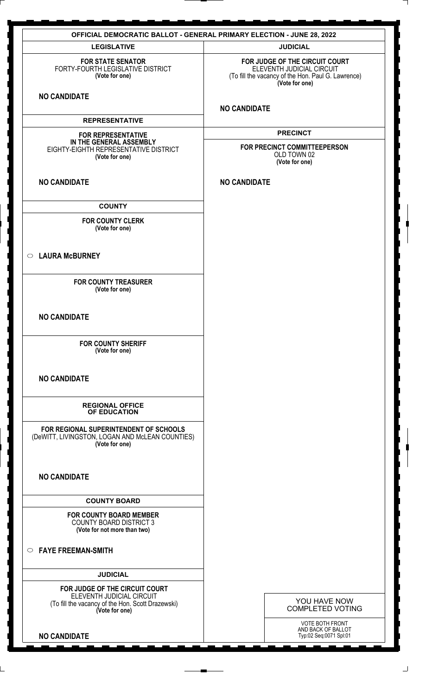| <b>OFFICIAL DEMOCRATIC BALLOT - GENERAL PRIMARY ELECTION - JUNE 28, 2022</b>                                                       |                                                                                                                                     |
|------------------------------------------------------------------------------------------------------------------------------------|-------------------------------------------------------------------------------------------------------------------------------------|
| <b>LEGISLATIVE</b>                                                                                                                 | <b>JUDICIAL</b>                                                                                                                     |
| <b>FOR STATE SENATOR</b><br>FORTY-FOURTH LEGISLATIVE DISTRICT<br>(Vote for one)                                                    | FOR JUDGE OF THE CIRCUIT COURT<br>ELEVENTH JUDICIAL CIRCUIT<br>(To fill the vacancy of the Hon. Paul G. Lawrence)<br>(Vote for one) |
| <b>NO CANDIDATE</b>                                                                                                                | <b>NO CANDIDATE</b>                                                                                                                 |
| <b>REPRESENTATIVE</b>                                                                                                              |                                                                                                                                     |
| <b>FOR REPRESENTATIVE</b><br>IN THE GENERAL ASSEMBLY<br>EIGHTY-EIGHTH REPRESENTATIVE DISTRICT<br>(Vote for one)                    | <b>PRECINCT</b><br>FOR PRECINCT COMMITTEEPERSON<br>OLD TOWN 02<br>(Vote for one)                                                    |
| <b>NO CANDIDATE</b>                                                                                                                | <b>NO CANDIDATE</b>                                                                                                                 |
| <b>COUNTY</b>                                                                                                                      |                                                                                                                                     |
| <b>FOR COUNTY CLERK</b><br>(Vote for one)                                                                                          |                                                                                                                                     |
| ○ LAURA McBURNEY                                                                                                                   |                                                                                                                                     |
| <b>FOR COUNTY TREASURER</b><br>(Vote for one)                                                                                      |                                                                                                                                     |
| <b>NO CANDIDATE</b>                                                                                                                |                                                                                                                                     |
| <b>FOR COUNTY SHERIFF</b><br>(Vote for one)                                                                                        |                                                                                                                                     |
| <b>NO CANDIDATE</b>                                                                                                                |                                                                                                                                     |
| <b>REGIONAL OFFICE</b><br>OF EDUCATION                                                                                             |                                                                                                                                     |
| FOR REGIONAL SUPERINTENDENT OF SCHOOLS<br>(DeWITT, LIVINGSTON, LOGAN AND McLEAN COUNTIES)<br>(Vote for one)                        |                                                                                                                                     |
| <b>NO CANDIDATE</b>                                                                                                                |                                                                                                                                     |
| <b>COUNTY BOARD</b>                                                                                                                |                                                                                                                                     |
| <b>FOR COUNTY BOARD MEMBER</b><br><b>COUNTY BOARD DISTRICT 3</b><br>(Vote for not more than two)                                   |                                                                                                                                     |
| $\circ$ FAYE FREEMAN-SMITH                                                                                                         |                                                                                                                                     |
| <b>JUDICIAL</b>                                                                                                                    |                                                                                                                                     |
| FOR JUDGE OF THE CIRCUIT COURT<br>ELEVENTH JUDICIAL CIRCUIT<br>(To fill the vacancy of the Hon. Scott Drazewski)<br>(Vote for one) | YOU HAVE NOW<br><b>COMPLETED VOTING</b>                                                                                             |
| <b>NO CANDIDATE</b>                                                                                                                | <b>VOTE BOTH FRONT</b><br>AND BACK OF BALLOT<br>Typ:02 Seq:0071 Spl:01                                                              |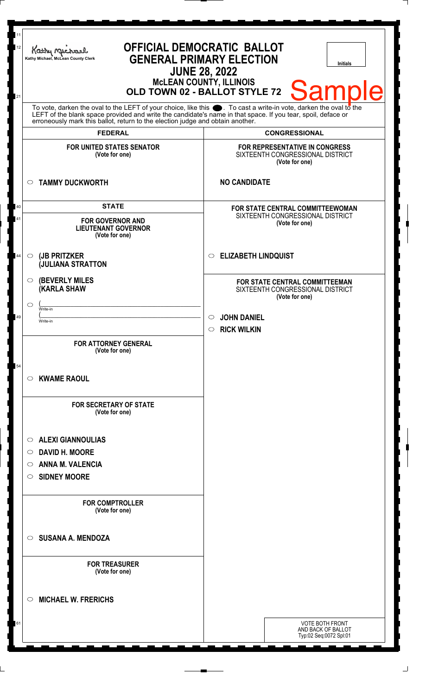| 11<br>12<br>21 | <b>OFFICIAL DEMOCRATIC BALLOT</b><br>Kathy Michael<br><b>GENERAL PRIMARY ELECTION</b><br>Kathy Michael, McLean County Clerk<br><b>Initials</b><br><b>JUNE 28, 2022</b><br><b>MCLEAN COUNTY, ILLINOIS</b><br><b>Sample</b><br>OLD TOWN 02 - BALLOT STYLE 72                                                             |                                                                                               |
|----------------|------------------------------------------------------------------------------------------------------------------------------------------------------------------------------------------------------------------------------------------------------------------------------------------------------------------------|-----------------------------------------------------------------------------------------------|
|                | To vote, darken the oval to the LEFT of your choice, like this $\bullet$ . To cast a write-in vote, darken the oval to the LEFT of the blank space provided and write the candidate's name in that space. If you tear, spoil, deface<br>erroneously mark this ballot, return to the election judge and obtain another. |                                                                                               |
|                | <b>FEDERAL</b>                                                                                                                                                                                                                                                                                                         | <b>CONGRESSIONAL</b>                                                                          |
|                | <b>FOR UNITED STATES SENATOR</b><br>(Vote for one)                                                                                                                                                                                                                                                                     | FOR REPRESENTATIVE IN CONGRESS<br>SIXTEENTH CONGRESSIONAL DISTRICT<br>(Vote for one)          |
|                | <b>TAMMY DUCKWORTH</b><br>$\circ$                                                                                                                                                                                                                                                                                      | <b>NO CANDIDATE</b>                                                                           |
| 40<br>41       | <b>STATE</b><br><b>FOR GOVERNOR AND</b><br><b>LIEUTENANT GOVERNOR</b><br>(Vote for one)                                                                                                                                                                                                                                | <b>FOR STATE CENTRAL COMMITTEEWOMAN</b><br>SIXTEENTH CONGRESSIONAL DISTRICT<br>(Vote for one) |
| 44             | (JB PRITZKER<br>$\circ$<br><b>JULIANA STRATTON</b>                                                                                                                                                                                                                                                                     | <b>ELIZABETH LINDQUIST</b>                                                                    |
|                | <b>(BEVERLY MILES)</b><br>O<br><b>(KARLA SHAW</b><br>◯<br>Write-in                                                                                                                                                                                                                                                     | <b>FOR STATE CENTRAL COMMITTEEMAN</b><br>SIXTEENTH CONGRESSIONAL DISTRICT<br>(Vote for one)   |
| 49             | Write-in                                                                                                                                                                                                                                                                                                               | <b>JOHN DANIEL</b><br>$\circ$<br><b>RICK WILKIN</b><br>$\circ$                                |
|                | <b>FOR ATTORNEY GENERAL</b><br>(Vote for one)                                                                                                                                                                                                                                                                          |                                                                                               |
| 54             | <b>KWAME RAOUL</b><br>$\circ$                                                                                                                                                                                                                                                                                          |                                                                                               |
|                | <b>FOR SECRETARY OF STATE</b><br>(Vote for one)                                                                                                                                                                                                                                                                        |                                                                                               |
|                | <b>ALEXI GIANNOULIAS</b><br>O                                                                                                                                                                                                                                                                                          |                                                                                               |
|                | <b>DAVID H. MOORE</b><br>O                                                                                                                                                                                                                                                                                             |                                                                                               |
|                | <b>ANNA M. VALENCIA</b><br>$\circ$                                                                                                                                                                                                                                                                                     |                                                                                               |
|                | <b>SIDNEY MOORE</b><br>$\circ$                                                                                                                                                                                                                                                                                         |                                                                                               |
|                | <b>FOR COMPTROLLER</b><br>(Vote for one)                                                                                                                                                                                                                                                                               |                                                                                               |
|                | <b>SUSANA A. MENDOZA</b><br>$\circ$                                                                                                                                                                                                                                                                                    |                                                                                               |
|                | <b>FOR TREASURER</b><br>(Vote for one)                                                                                                                                                                                                                                                                                 |                                                                                               |
|                | <b>MICHAEL W. FRERICHS</b><br>◯                                                                                                                                                                                                                                                                                        |                                                                                               |
| 61             |                                                                                                                                                                                                                                                                                                                        | <b>VOTE BOTH FRONT</b><br>AND BACK OF BALLOT<br>Typ:02 Seq:0072 Spl:01                        |

 $\perp$